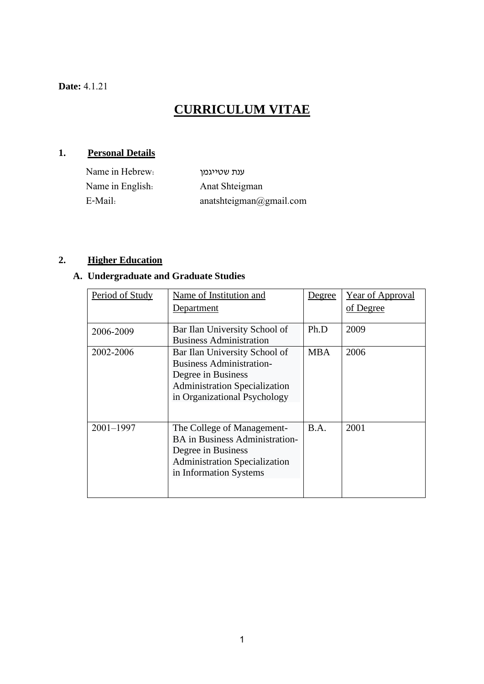### **Date:** 4.1.21

# **CURRICULUM VITAE**

# **1. Personal Details**

| Name in Hebrew:  | ענת שטייגמו             |
|------------------|-------------------------|
| Name in English. | Anat Shteigman          |
| E-Mail:          | anatshteigman@gmail.com |

### **2. Higher Education**

## **A. Undergraduate and Graduate Studies**

| Period of Study | Name of Institution and<br>Department                                                                                                                          | Degree     | Year of Approval<br>of Degree |
|-----------------|----------------------------------------------------------------------------------------------------------------------------------------------------------------|------------|-------------------------------|
| 2006-2009       | Bar Ilan University School of<br><b>Business Administration</b>                                                                                                | Ph.D       | 2009                          |
| 2002-2006       | Bar Ilan University School of<br><b>Business Administration-</b><br>Degree in Business<br><b>Administration Specialization</b><br>in Organizational Psychology | <b>MBA</b> | 2006                          |
| $2001 - 1997$   | The College of Management-<br><b>BA</b> in Business Administration-<br>Degree in Business<br><b>Administration Specialization</b><br>in Information Systems    | B.A.       | 2001                          |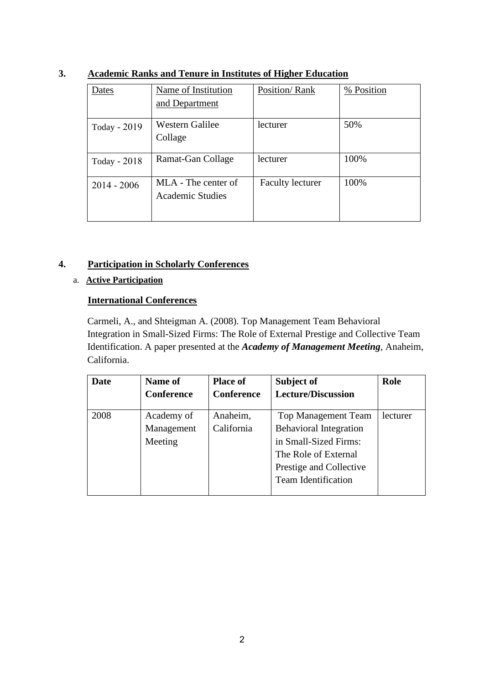| Dates         | Name of Institution | Position/Rank           | % Position |
|---------------|---------------------|-------------------------|------------|
|               | and Department      |                         |            |
|               |                     |                         |            |
| Today - 2019  | Western Galilee     | lecturer                | 50%        |
|               | Collage             |                         |            |
|               |                     |                         |            |
| Today - 2018  | Ramat-Gan Collage   | lecturer                | 100%       |
|               |                     |                         |            |
| $2014 - 2006$ | MLA - The center of | <b>Faculty lecturer</b> | 100%       |
|               | Academic Studies    |                         |            |
|               |                     |                         |            |
|               |                     |                         |            |

### **3. Academic Ranks and Tenure in Institutes of Higher Education**

### **4. Participation in Scholarly Conferences**

#### a. **Active Participation**

### **International Conferences**

Carmeli, A., and Shteigman A. (2008). Top Management Team Behavioral Integration in Small-Sized Firms: The Role of External Prestige and Collective Team Identification. A paper presented at the *Academy of Management Meeting*, Anaheim, California.

| <b>Date</b> | Name of                             | <b>Place of</b>        | Subject of                                                                                                                                                            | Role     |
|-------------|-------------------------------------|------------------------|-----------------------------------------------------------------------------------------------------------------------------------------------------------------------|----------|
|             | <b>Conference</b>                   | <b>Conference</b>      | <b>Lecture/Discussion</b>                                                                                                                                             |          |
| 2008        | Academy of<br>Management<br>Meeting | Anaheim,<br>California | <b>Top Management Team</b><br><b>Behavioral Integration</b><br>in Small-Sized Firms:<br>The Role of External<br>Prestige and Collective<br><b>Team Identification</b> | lecturer |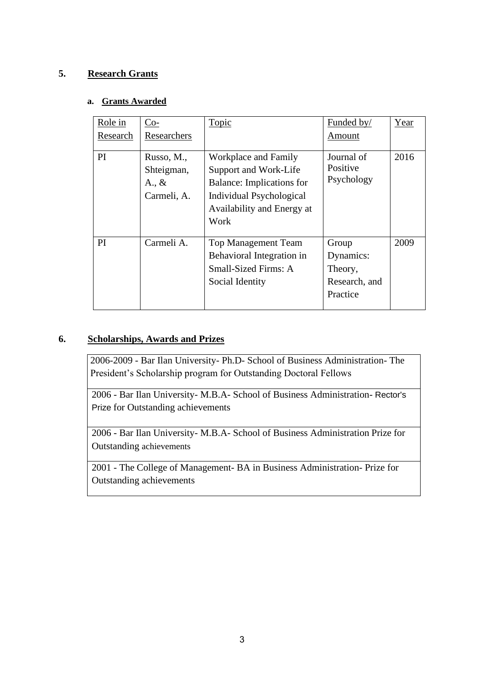### **5. Research Grants**

#### **a. Grants Awarded**

| Role in<br>Research | $Co-$<br>Researchers                                | Topic                                                                                                                                        | Funded by/<br>Amount                                       | Year |
|---------------------|-----------------------------------------------------|----------------------------------------------------------------------------------------------------------------------------------------------|------------------------------------------------------------|------|
| PI                  | Russo, M.,<br>Shteigman,<br>A., $\&$<br>Carmeli, A. | Workplace and Family<br>Support and Work-Life<br>Balance: Implications for<br>Individual Psychological<br>Availability and Energy at<br>Work | Journal of<br>Positive<br>Psychology                       | 2016 |
| PI                  | Carmeli A.                                          | <b>Top Management Team</b><br>Behavioral Integration in<br><b>Small-Sized Firms: A</b><br>Social Identity                                    | Group<br>Dynamics:<br>Theory,<br>Research, and<br>Practice | 2009 |

### **6. Scholarships, Awards and Prizes**

2006-2009 - Bar Ilan University- Ph.D- School of Business Administration- The President's Scholarship program for Outstanding Doctoral Fellows

2006 - Bar Ilan University- M.B.A- School of Business Administration- Rector's Prize for Outstanding achievements

2006 - Bar Ilan University- M.B.A- School of Business Administration Prize for Outstanding achievements

2001 - The College of Management- BA in Business Administration- Prize for Outstanding achievements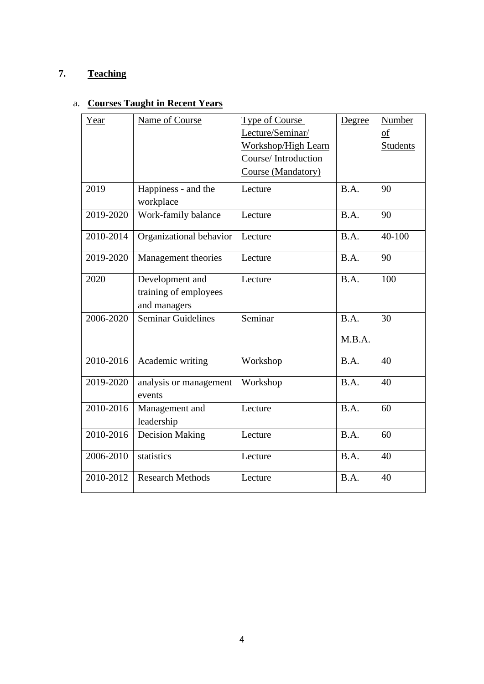# **7. Teaching**

### a. **Courses Taught in Recent Years**

| Year      | Name of Course                                           | Type of Course      | Degree         | Number           |
|-----------|----------------------------------------------------------|---------------------|----------------|------------------|
|           |                                                          | Lecture/Seminar/    |                | $\underline{of}$ |
|           |                                                          | Workshop/High Learn |                | <b>Students</b>  |
|           |                                                          | Course/Introduction |                |                  |
|           |                                                          | Course (Mandatory)  |                |                  |
| 2019      | Happiness - and the<br>workplace                         | Lecture             | B.A.           | 90               |
| 2019-2020 | Work-family balance                                      | Lecture             | B.A.           | 90               |
| 2010-2014 | Organizational behavior                                  | Lecture             | B.A.           | 40-100           |
| 2019-2020 | Management theories                                      | Lecture             | B.A.           | 90               |
| 2020      | Development and<br>training of employees<br>and managers | Lecture             | B.A.           | 100              |
| 2006-2020 | <b>Seminar Guidelines</b>                                | Seminar             | B.A.<br>M.B.A. | 30               |
| 2010-2016 | Academic writing                                         | Workshop            | B.A.           | 40               |
| 2019-2020 | analysis or management<br>events                         | Workshop            | B.A.           | 40               |
| 2010-2016 | Management and<br>leadership                             | Lecture             | B.A.           | 60               |
| 2010-2016 | <b>Decision Making</b>                                   | Lecture             | B.A.           | 60               |
| 2006-2010 | statistics                                               | Lecture             | B.A.           | 40               |
| 2010-2012 | <b>Research Methods</b>                                  | Lecture             | B.A.           | 40               |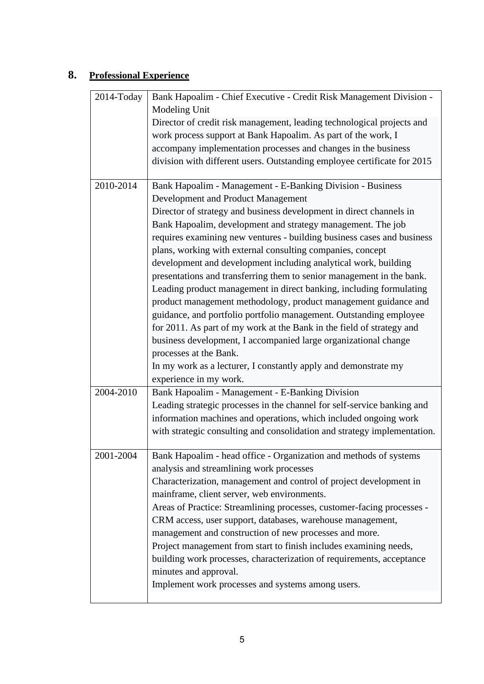### **8. Professional Experience**

| 2014-Today | Bank Hapoalim - Chief Executive - Credit Risk Management Division -<br>Modeling Unit |
|------------|--------------------------------------------------------------------------------------|
|            | Director of credit risk management, leading technological projects and               |
|            | work process support at Bank Hapoalim. As part of the work, I                        |
|            | accompany implementation processes and changes in the business                       |
|            | division with different users. Outstanding employee certificate for 2015             |
|            |                                                                                      |
| 2010-2014  | Bank Hapoalim - Management - E-Banking Division - Business                           |
|            | Development and Product Management                                                   |
|            | Director of strategy and business development in direct channels in                  |
|            | Bank Hapoalim, development and strategy management. The job                          |
|            | requires examining new ventures - building business cases and business               |
|            | plans, working with external consulting companies, concept                           |
|            | development and development including analytical work, building                      |
|            | presentations and transferring them to senior management in the bank.                |
|            | Leading product management in direct banking, including formulating                  |
|            | product management methodology, product management guidance and                      |
|            | guidance, and portfolio portfolio management. Outstanding employee                   |
|            | for 2011. As part of my work at the Bank in the field of strategy and                |
|            | business development, I accompanied large organizational change                      |
|            | processes at the Bank.                                                               |
|            | In my work as a lecturer, I constantly apply and demonstrate my                      |
|            | experience in my work.                                                               |
| 2004-2010  | Bank Hapoalim - Management - E-Banking Division                                      |
|            | Leading strategic processes in the channel for self-service banking and              |
|            | information machines and operations, which included ongoing work                     |
|            | with strategic consulting and consolidation and strategy implementation.             |
| 2001-2004  | Bank Hapoalim - head office - Organization and methods of systems                    |
|            | analysis and streamlining work processes                                             |
|            | Characterization, management and control of project development in                   |
|            | mainframe, client server, web environments.                                          |
|            | Areas of Practice: Streamlining processes, customer-facing processes -               |
|            | CRM access, user support, databases, warehouse management,                           |
|            | management and construction of new processes and more.                               |
|            | Project management from start to finish includes examining needs,                    |
|            | building work processes, characterization of requirements, acceptance                |
|            | minutes and approval.                                                                |
|            | Implement work processes and systems among users.                                    |
|            |                                                                                      |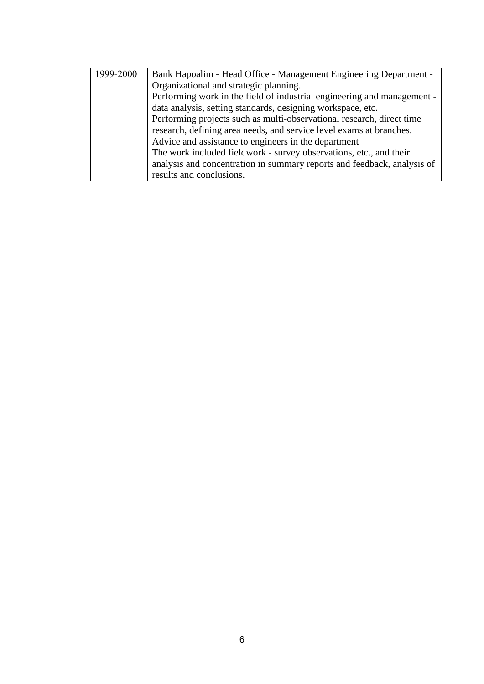| 1999-2000 | Bank Hapoalim - Head Office - Management Engineering Department -       |
|-----------|-------------------------------------------------------------------------|
|           | Organizational and strategic planning.                                  |
|           | Performing work in the field of industrial engineering and management - |
|           | data analysis, setting standards, designing workspace, etc.             |
|           | Performing projects such as multi-observational research, direct time   |
|           | research, defining area needs, and service level exams at branches.     |
|           | Advice and assistance to engineers in the department                    |
|           | The work included fieldwork - survey observations, etc., and their      |
|           | analysis and concentration in summary reports and feedback, analysis of |
|           | results and conclusions.                                                |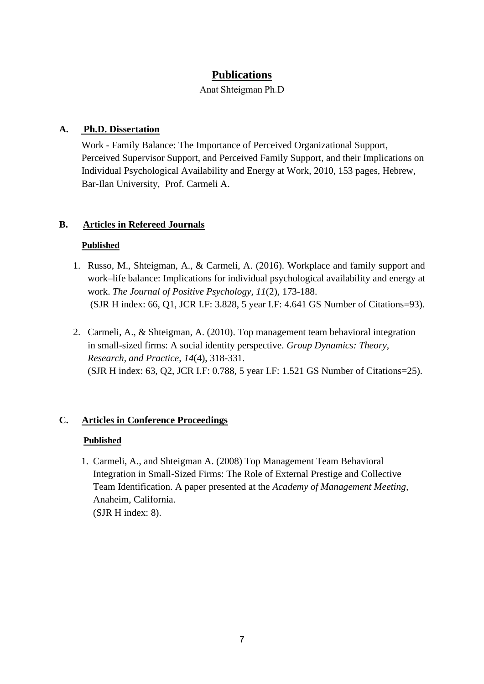## **Publications**

### Anat Shteigman Ph.D

### **A. Ph.D. Dissertation**

Work - Family Balance: The Importance of Perceived Organizational Support, Perceived Supervisor Support, and Perceived Family Support, and their Implications on Individual Psychological Availability and Energy at Work, 2010, 153 pages, Hebrew, Bar-Ilan University, Prof. Carmeli A.

### **B. Articles in Refereed Journals**

### **Published**

- 1. Russo, M., Shteigman, A., & Carmeli, A. (2016). Workplace and family support and work–life balance: Implications for individual psychological availability and energy at work. *The Journal of Positive Psychology, 11*(2), 173-188. (SJR H index: 66, Q1, JCR I.F: 3.828, 5 year I.F: 4.641 GS Number of Citations=93).
- 2. Carmeli, A., & Shteigman, A. (2010). Top management team behavioral integration in small-sized firms: A social identity perspective. *Group Dynamics: Theory, Research, and Practice*, *14*(4), 318-331. (SJR H index: 63, Q2, JCR I.F: 0.788, 5 year I.F: 1.521 GS Number of Citations=25).

### **C. Articles in Conference Proceedings**

### **Published**

1. Carmeli, A., and Shteigman A. (2008) Top Management Team Behavioral Integration in Small-Sized Firms: The Role of External Prestige and Collective Team Identification. A paper presented at the *Academy of Management Meeting*, Anaheim, California. (SJR H index: 8).